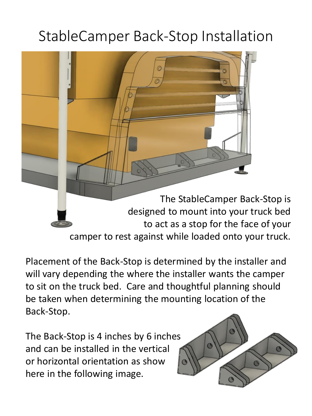## StableCamper Back-Stop Installation



Placement of the Back-Stop is determined by the installer and will vary depending the where the installer wants the camper to sit on the truck bed. Care and thoughtful planning should be taken when determining the mounting location of the Back-Stop.

The Back-Stop is 4 inches by 6 inches and can be installed in the vertical or horizontal orientation as show here in the following image.

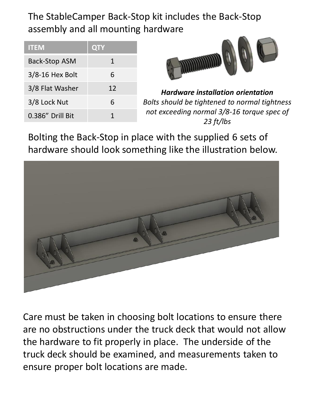The StableCamper Back-Stop kit includes the Back-Stop assembly and all mounting hardware

| <b>ITEM</b>          | <b>QTY</b> |
|----------------------|------------|
| <b>Back-Stop ASM</b> | 1          |
| $3/8 - 16$ Hex Bolt  | 6          |
| 3/8 Flat Washer      | 12         |
| 3/8 Lock Nut         | 6          |
| 0.386" Drill Bit     |            |



*Hardware installation orientation Bolts should be tightened to normal tightness not exceeding normal 3/8-16 torque spec of 23 ft/lbs*

Bolting the Back-Stop in place with the supplied 6 sets of hardware should look something like the illustration below.



Care must be taken in choosing bolt locations to ensure there are no obstructions under the truck deck that would not allow the hardware to fit properly in place. The underside of the truck deck should be examined, and measurements taken to ensure proper bolt locations are made.